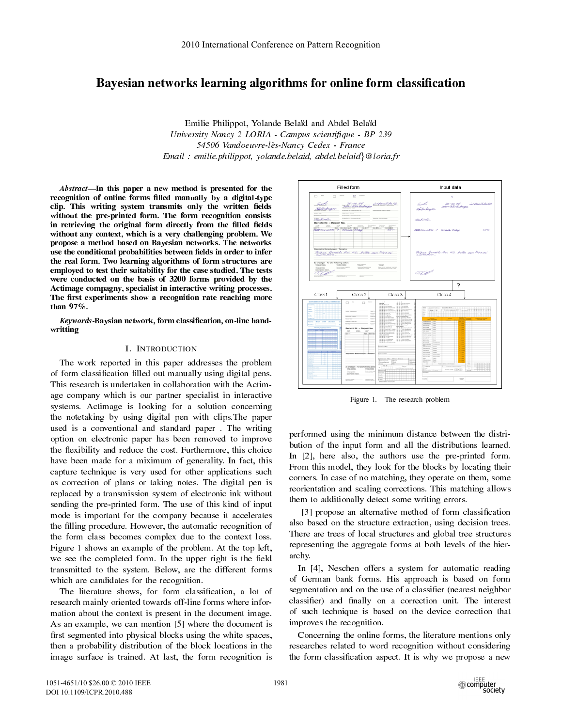# Bayesian networks learning algorithms for online form classification

Emilie Philippot, Yolande Bela¨d and Abdel Bela¨d University Nancy 2 LORIA - Campus scientifique - BP 239 54506 Vandoeuvre-les-Nancy Cedex - France Email : emilie.philippot, yolande.belaid, abdel.belaid*}*@loria.fr

Abstract—In this paper a new method is presented for the recognition of online forms filled manually by a digital-type clip. This writing system transmits only the written fields without the pre-printed form. The form recognition consists in retrieving the original form directly from the filled fields without any context, which is a very challenging problem. We propose a method based on Bayesian networks. The networks use the conditional probabilities between fields in order to infer the real form. Two learning algorithms of form structures are employed to test their suitability for the case studied. The tests were conducted on the basis of 3200 forms provided by the Actimage compagny, specialist in interactive writing processes. The first experiments show a recognition rate reaching more than 97%.

Keywords-Baysian network, form classification, on-line handwritting

# I. INTRODUCTION

The work reported in this paper addresses the problem of form classification filled out manually using digital pens. This research is undertaken in collaboration with the Actimage company which is our partner specialist in interactive systems. Actimage is looking for a solution concerning the notetaking by using digital pen with clips.The paper used is a conventional and standard paper . The writing option on electronic paper has been removed to improve the flexibility and reduce the cost. Furthermore, this choice have been made for a miximum of generality. In fact, this capture technique is very used for other applications such as correction of plans or taking notes. The digital pen is replaced by a transmission system of electronic ink without sending the pre-printed form. The use of this kind of input mode is important for the company because it accelerates the filling procedure. However, the automatic recognition of the form class becomes complex due to the context loss. Figure 1 shows an example of the problem. At the top left, we see the completed form. In the upper right is the field transmitted to the system. Below, are the different forms which are candidates for the recognition.

The literature shows, for form classification, a lot of research mainly oriented towards off-line forms where information about the context is present in the document image. As an example, we can mention [5] where the document is first segmented into physical blocks using the white spaces, then a probability distribution of the block locations in the image surface is trained. At last, the form recognition is



Figure 1. The research problem

performed using the minimum distance between the distribution of the input form and all the distributions learned. In [2], here also, the authors use the pre-printed form. From this model, they look for the blocks by locating their corners. In case of no matching, they operate on them, some reorientation and scaling corrections. This matching allows them to additionally detect some writing errors.

[3] propose an alternative method of form classification also based on the structure extraction, using decision trees. There are trees of local structures and global tree structures representing the aggregate forms at both levels of the hierarchy.

In [4], Neschen offers a system for automatic reading of German bank forms. His approach is based on form segmentation and on the use of a classifier (nearest neighbor classifier) and finally on a correction unit. The interest of such technique is based on the device correction that improves the recognition.

Concerning the online forms, the literature mentions only researches related to word recognition without considering the form classification aspect. It is why we propose a new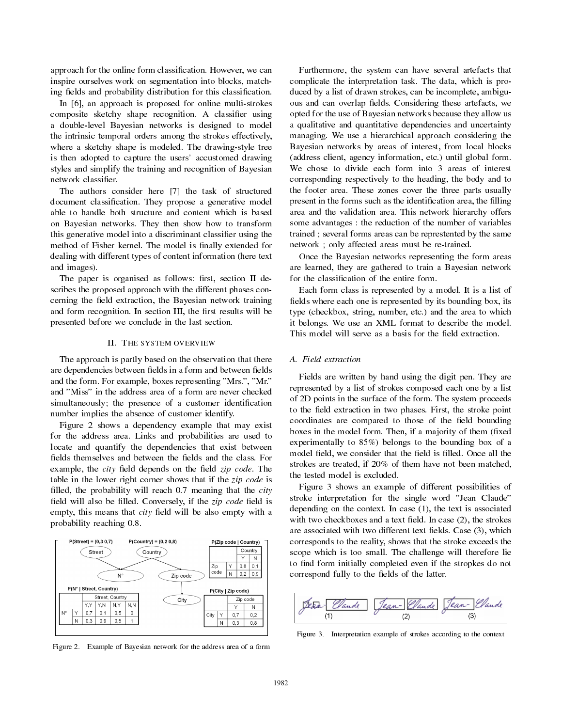approach for the online form classification. However, we can inspire ourselves work on segmentation into blocks, matching fields and probability distribution for this classification.

In [6], an approach is proposed for online multi-strokes composite sketchy shape recognition. A classifier using a double-level Bayesian networks is designed to model the intrinsic temporal orders among the strokes effectively, where a sketchy shape is modeled. The drawing-style tree is then adopted to capture the users' accustomed drawing styles and simplify the training and recognition of Bayesian network classifier.

The authors consider here [7] the task of structured document classification. They propose a generative model able to handle both structure and content which is based on Bayesian networks. They then show how to transform this generative model into a discriminant classifier using the method of Fisher kernel. The model is finally extended for dealing with different types of content information (here text and images).

The paper is organised as follows: first, section II describes the proposed approach with the different phases concerning the field extraction, the Bayesian network training and form recognition. In section III, the first results will be presented before we conclude in the last section.

# II. THE SYSTEM OVERVIEW

The approach is partly based on the observation that there are dependencies between fields in a form and between fields and the form. For example, boxes representing "Mrs.", "Mr." and "Miss" in the address area of a form are never checked simultaneously; the presence of a customer identification number implies the absence of customer identify.

Figure 2 shows a dependency example that may exist for the address area. Links and probabilities are used to locate and quantify the dependencies that exist between fields themselves and between the fields and the class. For example, the city field depends on the field zip code. The table in the lower right corner shows that if the *zip code* is filled, the probability will reach 0.7 meaning that the city field will also be filled. Conversely, if the *zip code* field is empty, this means that city field will be also empty with a probability reaching 0.8.



Figure 2. Example of Bayesian network for the address area of a form

Furthermore, the system can have several artefacts that complicate the interpretation task. The data, which is produced by a list of drawn strokes, can be incomplete, ambiguous and can overlap fields. Considering these artefacts, we opted for the use of Bayesian networks because they allow us a qualitative and quantitative dependencies and uncertainty managing. We use a hierarchical approach considering the Bayesian networks by areas of interest, from local blocks (address client, agency information, etc.) until global form. We chose to divide each form into 3 areas of interest corresponding respectively to the heading, the body and to the footer area. These zones cover the three parts usually present in the forms such as the identification area, the filling area and the validation area. This network hierarchy offers some advantages : the reduction of the number of variables trained ; several forms areas can be represtented by the same network ; only affected areas must be re-trained.

Once the Bayesian networks representing the form areas are learned, they are gathered to train a Bayesian network for the classification of the entire form.

Each form class is represented by a model. It is a list of fields where each one is represented by its bounding box, its type (checkbox, string, number, etc.) and the area to which it belongs. We use an XML format to describe the model. This model will serve as a basis for the field extraction.

# A. Field extraction

Fields are written by hand using the digit pen. They are represented by a list of strokes composed each one by a list of 2D points in the surface of the form. The system proceeds to the field extraction in two phases. First, the stroke point coordinates are compared to those of the field bounding boxes in the model form. Then, if a majority of them (fixed experimentally to 85%) belongs to the bounding box of a model field, we consider that the field is filled. Once all the strokes are treated, if 20% of them have not been matched, the tested model is excluded.

Figure 3 shows an example of different possibilities of stroke interpretation for the single word "Jean Claude" depending on the context. In case (1), the text is associated with two checkboxes and a text field. In case (2), the strokes are associated with two different text fields. Case (3), which corresponds to the reality, shows that the stroke exceeds the scope which is too small. The challenge will therefore lie to find form initially completed even if the stropkes do not correspond fully to the fields of the latter.



Figure 3. Interpretation example of strokes according to the context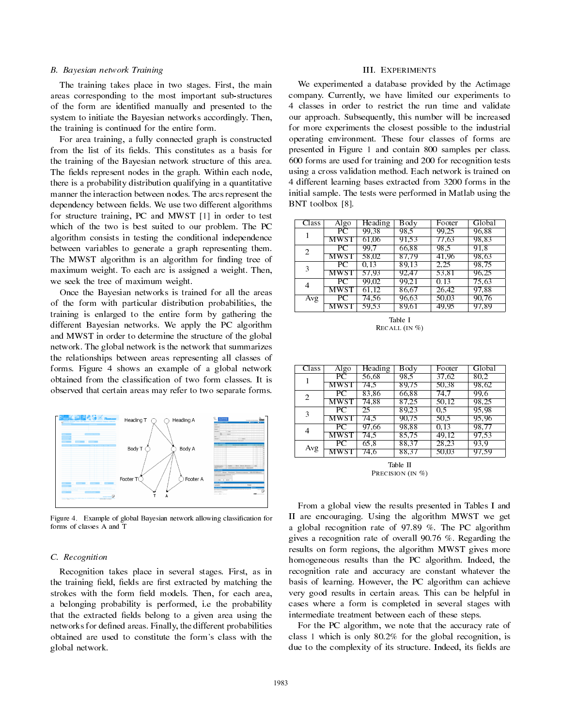# B. Bayesian network Training

The training takes place in two stages. First, the main areas corresponding to the most important sub-structures of the form are identified manually and presented to the system to initiate the Bayesian networks accordingly. Then, the training is continued for the entire form.

For area training, a fully connected graph is constructed from the list of its fields. This constitutes as a basis for the training of the Bayesian network structure of this area. The fields represent nodes in the graph. Within each node, there is a probability distribution qualifying in a quantitative manner the interaction between nodes. The arcs represent the dependency between fields. We use two different algorithms for structure training, PC and MWST [1] in order to test which of the two is best suited to our problem. The PC algorithm consists in testing the conditional independence between variables to generate a graph representing them. The MWST algorithm is an algorithm for finding tree of maximum weight. To each arc is assigned a weight. Then, we seek the tree of maximum weight.

Once the Bayesian networks is trained for all the areas of the form with particular distribution probabilities, the training is enlarged to the entire form by gathering the different Bayesian networks. We apply the PC algorithm and MWST in order to determine the structure of the global network. The global network is the network that summarizes the relationships between areas representing all classes of forms. Figure 4 shows an example of a global network obtained from the classification of two form classes. It is observed that certain areas may refer to two separate forms.



Figure 4. Example of global Bayesian network allowing classification for forms of classes A and T

## C. Recognition

Recognition takes place in several stages. First, as in the training field, fields are first extracted by matching the strokes with the form field models. Then, for each area, a belonging probability is performed, i.e the probability that the extracted fields belong to a given area using the networks for defined areas. Finally, the different probabilities obtained are used to constitute the form's class with the global network.

## III. EXPERIMENTS

We experimented a database provided by the Actimage company. Currently, we have limited our experiments to 4 classes in order to restrict the run time and validate our approach. Subsequently, this number will be increased for more experiments the closest possible to the industrial operating environment. These four classes of forms are presented in Figure 1 and contain 800 samples per class. 600 forms are used for training and 200 for recognition tests using a cross validation method. Each network is trained on 4 different learning bases extracted from 3200 forms in the initial sample. The tests were performed in Matlab using the BNT toolbox [8].

| Class | Algo        | Heading | Body  | Footer | Global |
|-------|-------------|---------|-------|--------|--------|
|       | $_{\rm PC}$ | 99.38   | 98.5  | 99.25  | 96.88  |
|       | MWST        | 61.06   | 91.53 | 77.63  | 98.83  |
| 2     | PС          | 99.7    | 66.88 | 98.5   | 91.8   |
|       | MWST        | 58.02   | 87.79 | 41,96  | 98.63  |
| 3     | PС          | 0.13    | 89.13 | 2,25   | 98.75  |
|       | MWST        | 57.93   | 92.47 | 53.81  | 96.25  |
| 4     | PC          | 99.02   | 99.21 | 0.13   | 75.63  |
|       | MWST        | 61.12   | 86.67 | 26,42  | 97.88  |
| Avg   | РC          | 74.56   | 96.63 | 50.03  | 90.76  |
|       | MWST        | 59.53   | 89.61 | 49.95  | 97.89  |

Table I RECALL (IN %)

| Class | Algo | Heading | Body  | Footer | Global |
|-------|------|---------|-------|--------|--------|
|       | PС   | 56.68   | 98.5  | 37.62  | 80.2   |
|       | MWST | 74.5    | 89.75 | 50.38  | 98.62  |
| 2     | PC   | 83.86   | 66.88 | 74.7   | 99.6   |
|       | MWST | 74.88   | 87.25 | 50.12  | 98.25  |
| 3     | РC   | 25      | 89.23 | 0.5    | 95.98  |
|       | MWST | 74.5    | 90.75 | 50.5   | 95.96  |
| 4     | PC   | 97.66   | 98.88 | 0.13   | 98.77  |
|       | MWST | 74.5    | 85.75 | 49.12  | 97.53  |
| Avg   | PС   | 65.8    | 88.37 | 28,23  | 93.9   |
|       | MWST | 74.6    | 88.37 | 50.03  | 97.59  |

Table II PRECISION (IN  $\%$ )

From a global view the results presented in Tables I and II are encouraging. Using the algorithm MWST we get a global recognition rate of 97.89 %. The PC algorithm gives a recognition rate of overall 90.76 %. Regarding the results on form regions, the algorithm MWST gives more homogeneous results than the PC algorithm. Indeed, the recognition rate and accuracy are constant whatever the basis of learning. However, the PC algorithm can achieve very good results in certain areas. This can be helpful in cases where a form is completed in several stages with intermediate treatment between each of these steps.

For the PC algorithm, we note that the accuracy rate of class 1 which is only 80.2% for the global recognition, is due to the complexity of its structure. Indeed, its fields are